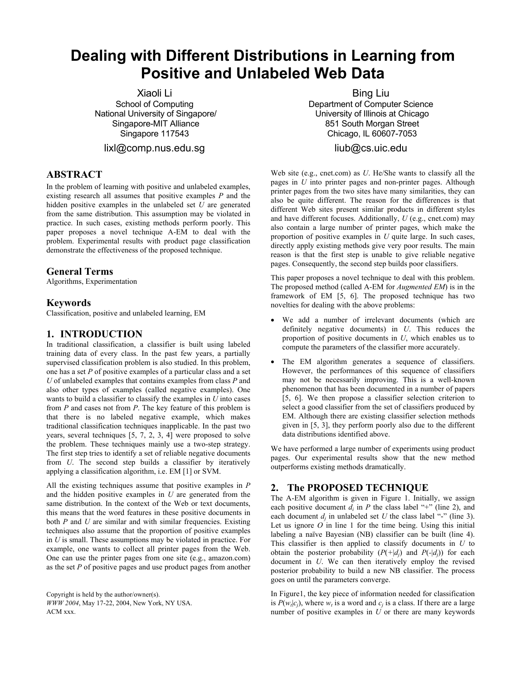# **Dealing with Different Distributions in Learning from Positive and Unlabeled Web Data**

Xiaoli Li School of Computing National University of Singapore/ Singapore-MIT Alliance Singapore 117543

lixl@comp.nus.edu.sg

## **ABSTRACT**

In the problem of learning with positive and unlabeled examples, existing research all assumes that positive examples *P* and the hidden positive examples in the unlabeled set *U* are generated from the same distribution. This assumption may be violated in practice. In such cases, existing methods perform poorly. This paper proposes a novel technique A-EM to deal with the problem. Experimental results with product page classification demonstrate the effectiveness of the proposed technique.

#### **General Terms**

Algorithms, Experimentation

## **Keywords**

Classification, positive and unlabeled learning, EM

#### **1. INTRODUCTION**

In traditional classification, a classifier is built using labeled training data of every class. In the past few years, a partially supervised classification problem is also studied. In this problem, one has a set *P* of positive examples of a particular class and a set *U* of unlabeled examples that contains examples from class *P* and also other types of examples (called negative examples). One wants to build a classifier to classify the examples in *U* into cases from *P* and cases not from *P*. The key feature of this problem is that there is no labeled negative example, which makes traditional classification techniques inapplicable. In the past two years, several techniques [5, 7, 2, 3, 4] were proposed to solve the problem. These techniques mainly use a two-step strategy. The first step tries to identify a set of reliable negative documents from *U*. The second step builds a classifier by iteratively applying a classification algorithm, i.e. EM [1] or SVM.

All the existing techniques assume that positive examples in *P*  and the hidden positive examples in *U* are generated from the same distribution. In the context of the Web or text documents, this means that the word features in these positive documents in both *P* and *U* are similar and with similar frequencies. Existing techniques also assume that the proportion of positive examples in *U* is small. These assumptions may be violated in practice. For example, one wants to collect all printer pages from the Web. One can use the printer pages from one site (e.g., amazon.com) as the set *P* of positive pages and use product pages from another

Copyright is held by the author/owner(s). *WWW 2004*, May 17-22, 2004, New York, NY USA.  $ACM$  xxx.

Bing Liu Department of Computer Science University of Illinois at Chicago 851 South Morgan Street Chicago, IL 60607-7053

## liub@cs.uic.edu

Web site (e.g., cnet.com) as *U*. He/She wants to classify all the pages in *U* into printer pages and non-printer pages. Although printer pages from the two sites have many similarities, they can also be quite different. The reason for the differences is that different Web sites present similar products in different styles and have different focuses. Additionally, *U* (e.g., cnet.com) may also contain a large number of printer pages, which make the proportion of positive examples in *U* quite large. In such cases, directly apply existing methods give very poor results. The main reason is that the first step is unable to give reliable negative pages. Consequently, the second step builds poor classifiers.

This paper proposes a novel technique to deal with this problem. The proposed method (called A-EM for *Augmented EM*) is in the framework of EM [5, 6]. The proposed technique has two novelties for dealing with the above problems:

- We add a number of irrelevant documents (which are definitely negative documents) in *U*. This reduces the proportion of positive documents in *U*, which enables us to compute the parameters of the classifier more accurately.
- The EM algorithm generates a sequence of classifiers. However, the performances of this sequence of classifiers may not be necessarily improving. This is a well-known phenomenon that has been documented in a number of papers [5, 6]. We then propose a classifier selection criterion to select a good classifier from the set of classifiers produced by EM. Although there are existing classifier selection methods given in [5, 3], they perform poorly also due to the different data distributions identified above.

We have performed a large number of experiments using product pages. Our experimental results show that the new method outperforms existing methods dramatically.

# **2. The PROPOSED TECHNIQUE**

The A-EM algorithm is given in Figure 1. Initially, we assign each positive document  $d_i$  in P the class label "+" (line 2), and each document  $d_i$  in unlabeled set U the class label "-" (line 3). Let us ignore *O* in line 1 for the time being. Using this initial labeling a naïve Bayesian (NB) classifier can be built (line 4). This classifier is then applied to classify documents in *U* to obtain the posterior probability  $(P(+|d_i)$  and  $P(-|d_i))$  for each document in *U*. We can then iteratively employ the revised posterior probability to build a new NB classifier. The process goes on until the parameters converge.

In Figure1, the key piece of information needed for classification is  $P(w_t|c_i)$ , where  $w_t$  is a word and  $c_i$  is a class. If there are a large number of positive examples in U or there are many keywords